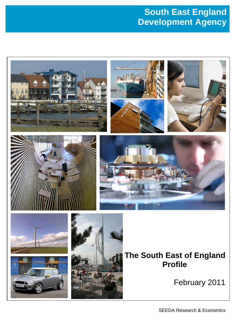# **South East England Development Agency**

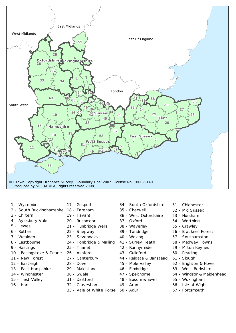

- 1 Wycombe 1 Wycombe 1 Wycombe
- 2 South Buckinghamshire 18 Fareham
- 3 Chiltern 3 Chiltern 3 Chiltern
- 4 Aylesbury Vale 4 Aylesbury Vale 4 Aylesbury Vale
- 5 Lewes
- $6$  Rother
- 7 Wealden 7 Wealden 7 -
- 8 Eastbourne
- 9 Hastings 9 Hastings 9 Hastings
- 10 Basingstoke & Deane
- 11 New Forest 11 New Forest 11 New Forest
- 12 Eastleigh
- 13 East Hampshire
- 14 Winchester 14 Winchester 14 Winchester
- 15 Test Valley 15 Test Valley 15 Test Valley
- 16 Hart
- 17 Gosport 17 Gosport 17 Gosport
- 
- 19 Havant 19 Havant 19 Havant
- 20 Rushmoor
- 21 Tunbridge Wells 21 Tunbridge Wells 21 Wells
- 22 Shepway 22 Shepway 22 Shepway
- 23 Sevenoaks
- 24 Tonbridge & Malling 24 Tonbridge & Malling 24 & Malling
- 25 Thanet
- 26 Ashford 26 Ashford 26 Ashford
- 27 Canterbury 27 Canterbury 27 Canterbury
- 28 Dover
- 29 Maidstone
- 30 Swale
- 31 Dartford 31 Dartford 31 Dartford
- 32 Gravesham
- 33 Vale of White Horse 50 Adur
- 34 South Oxfordshire
- 35 Cherwell 35 Cherwell 35 Cherwell
- 36 West Oxfordshire 36 West Oxfordshire 36 West Oxfordshire
- 37 Oxford 37 Oxford 37 Oxford
- 38 Waverley 38 Waverley 38 Waverley
- 39 Tandridge 39 Tandridge 39 Tandridge
- 40 Woking 40 Woking 40 Woking
- 41 Surrey Heath 41 Surrey Heath 41 Surrey Heath
- 42 Runnymede 42 42 Runnymede
- 
- 43 Guildford 43 Guildford 43 Guildford
- 44 Reigate & Banstead
- 45 Mole Valley
- 46 Elmbridge
- 47 Spelthorne 47 47 Spelthorne
- 48 Epsom & Ewell 48 Epsom & Ewell 48 Epsom Ewell
- 49 Arun
- 
- 51 Chichester 51 Chichester 51 Chichester
- 52 Mid Sussex
- 53 Horsham
- 54 Worthing 54 Worthing 54 Worthing
- 55 Crawley
- 56 Bracknell Forest
- 57 Southampton
- 58 Medway Towns 58 Medway Towns 58 Medway Towns
- 59 Milton Keynes
- 60 Reading 60 Reading 60 Reading
- 61 Slough
- 62 Brighton & Hove
- 63 West Berkshire 63 West Berkshire 63 West Berkshire
- 64 Windsor & Maidenhead
- 65 Wokingham
- 66 Isle of Wight 66 Isle of Wight 66 Isle of Wight
- 67 Portsmouth 67 Portsmouth 67 Portsmouth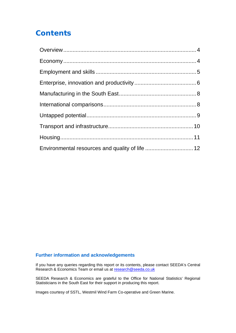# **Contents**

| Environmental resources and quality of life  12 |  |
|-------------------------------------------------|--|

#### **Further information and acknowledgements**

If you have any queries regarding this report or its contents, please contact SEEDA's Central Research & Economics Team or email us at [research@seeda.co.uk](mailto:research@seeda.co.uk)

SEEDA Research & Economics are grateful to the Office for National Statistics' Regional Statisticians in the South East for their support in producing this report.

Images courtesy of SSTL, Westmil Wind Farm Co-operative and Green Marine.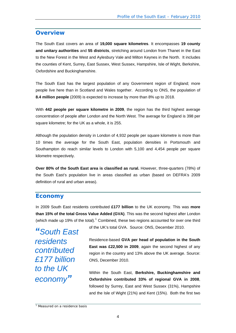#### <span id="page-3-0"></span>**Overview**

The South East covers an area of **19,000 square kilometres**. It encompasses **19 county and unitary authorities** and **55 districts**, stretching around London from Thanet in the East to the New Forest in the West and Aylesbury Vale and Milton Keynes in the North. It includes the counties of Kent, Surrey, East Sussex, West Sussex, Hampshire, Isle of Wight, Berkshire, Oxfordshire and Buckinghamshire.

The South East has the largest population of any Government region of England; more people live here than in Scotland and Wales together. According to ONS, the population of **8.4 million people** (2009) is expected to increase by more than 8% up to 2018.

With **442 people per square kilometre in 2009**, the region has the third highest average concentration of people after London and the North West. The average for England is 398 per square kilometre; for the UK as a whole, it is 255.

Although the population density in London of 4,932 people per square kilometre is more than 10 times the average for the South East, population densities in Portsmouth and Southampton do reach similar levels to London with 5,100 and 4,454 people per square kilometre respectively.

**Over 80% of the South East area is classified as rural.** However, three-quarters (78%) of the South East's population live in areas classified as urban (based on DEFRA's 2009 definition of rural and urban areas).

#### **Economy**

In 2009 South East residents contributed **£177 billion** to the UK economy. This was **more than 15% of the total Gross Value Added (GVA)**. This was the second highest after London (which made up [1](#page-3-1)9% of the total). $<sup>1</sup>$  Combined, these two regions accounted for over one third</sup>

*"South East residents contributed £177 billion to the UK economy"*

of the UK's total GVA. Source: ONS, December 2010.

Residence-based **GVA per head of population in the South East was £22,500 in 2009**, again the second highest of any region in the country and 13% above the UK average. Source: ONS, December 2010.

Within the South East, **Berkshire, Buckinghamshire and Oxfordshire contributed 33% of regional GVA in 2008**, followed by Surrey, East and West Sussex (31%), Hampshire and the Isle of Wight (21%) and Kent (15%). Both the first two

<span id="page-3-1"></span><sup>&</sup>lt;sup>1</sup> Measured on a residence basis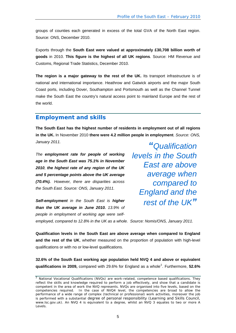<span id="page-4-0"></span>groups of counties each generated in excess of the total GVA of the North East region. Source: ONS, December 2010.

Exports through the **South East were valued at approximately £30,708 billion worth of goods** in 2010. **This figure is the highest of all UK regions**. Source: HM Revenue and Customs, Regional Trade Statistics, December 2010.

**The region is a major gateway to the rest of the UK.** Its transport infrastructure is of national and international importance. Heathrow and Gatwick airports and the major South Coast ports, including Dover, Southampton and Portsmouth as well as the Channel Tunnel make the South East the country's natural access point to mainland Europe and the rest of the world.

## **Employment and skills**

**The South East has the highest number of residents in employment out of all regions in the UK.** In November 2010 **there were 4.2 million people in employment**. *Source: ONS, January 2011.* 

*The employment rate for people of working age in the South East was 75.1% in November 2010, the highest rate of any region of the UK and 5 percentage points above the UK average (70.4%). However, there are disparities across the South East. Source: ONS, January 2011.* 

*Self-employment in the South East is higher than the UK average in June 2010. 13.9% of people in employment of working age were self-*

*"Qualification levels in the South East are above average when compared to England and the rest of the UK"*

*employed, compared to 12.8% in the UK as a whole. Source: Nomis/ONS, January 2011.*

**Qualification levels in the South East are above average when compared to England and the rest of the UK**, whether measured on the proportion of population with high-level qualifications or with no or low-level qualifications.

**32.6% of the South East working age population held NVQ 4 and above or equivalent qualifications in [2](#page-4-1)009,** compared with 29.6% for England as a whole<sup>2</sup>. Furthermore, 52.6%

<span id="page-4-1"></span> $2$  National Vocational Qualifications (NVQs) are work-related, competence based qualifications. They reflect the skills and knowledge required to perform a job effectively, and show that a candidate is competent in the area of work the NVQ represents. NVQs are organised into five levels, based on the competencies required. In the case of NVQ4 level, the competencies are broad to allow the performance of a wide range of complex (technical or professional) work activities, moreover the job is performed with a substantial degree of personal responsibility (Learning and Skills Council, [www.lsc.gov.uk](http://www.lsc.gov.uk/)). An NVQ 4 is equivalent to a degree, whilst an NVQ 3 equates to two or more A Levels.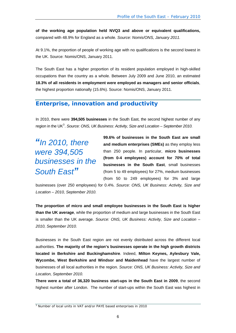<span id="page-5-0"></span>**of the working age population held NVQ3 and above or equivalent qualifications,**  compared with 48.9% for England as a whole. *Source: Nomis/ONS, January 2011.*

At 9.1%, the proportion of people of working age with no qualifications is the second lowest in the UK. Source: Nomis/ONS, January 2011.

The South East has a higher proportion of its resident population employed in high-skilled occupations than the country as a whole. Between July 2009 and June 2010, an estimated **18.3% of all residents in employment were employed as managers and senior officials**, the highest proportion nationally (15.6%). Source: Nomis/ONS, January 2011.

### **Enterprise, innovation and productivity**

In 2010, there were **394,505 businesses** in the South East, the second highest number of any region in the UK<sup>[3](#page-5-1)</sup>. Source: ONS, UK Business: Activity, Size and Location – September 2010.

*"In 2010, there were 394,505 businesses in the South East"*

**99.6% of businesses in the South East are small and medium enterprises (SMEs)** as they employ less than 250 people. In particular, **micro businesses (from 0-4 employees) account for 70% of total businesses in the South East**, small businesses (from 5 to 49 employees) for 27%, medium businesses (from 50 to 249 employees) for 3% and large

businesses (over 250 employees) for 0.4%. *Source: ONS, UK Business: Activity, Size and Location – 2010, September 2010.*

**The proportion of micro and small employee businesses in the South East is higher than the UK average**, while the proportion of medium and large businesses in the South East is smaller than the UK average. *Source: ONS, UK Business: Activity, Size and Location – 2010, September 2010.* 

Businesses in the South East region are not evenly distributed across the different local authorities. **The majority of the region's businesses operate in the high growth districts located in Berkshire and Buckinghamshire**. Indeed, **Milton Keynes, Aylesbury Vale, Wycombe, West Berkshire and Windsor and Maidenhead** have the largest number of businesses of all local authorities in the region. *Source: ONS, UK Business: Activity, Size and Location, September 2010.* 

**There were a total of 36,320 business start-ups in the South East in 2009**, the second highest number after London. The number of start-ups within the South East was highest in

<span id="page-5-1"></span><sup>&</sup>lt;sup>3</sup> Number of local units in VAT and/or PAYE based enterprises in 2010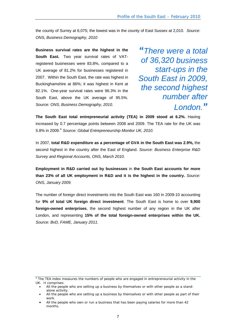the county of Surrey at 6,075; the lowest was in the county of East Sussex at 2,010. *Source: ONS, Business Demography, 2010* 

**Business survival rates are the highest in the South East.** Two year survival rates of VATregistered businesses were 83.8%, compared to a UK average of 81.2% for businesses registered in 2007. Within the South East, the rate was highest in Buckinghamshire at 86%; it was highest in Kent at 82.1%. One-year survival rates were 96.3% in the South East, above the UK average of 95.5%. *Source: ONS, Business Demography, 2010.*

*"There were a total of 36,320**business start-ups in the South East in 2009, the second highest number after London."*

**The South East total entrepreneurial activity (TEA) in 2009 stood at 6.2%.** Having increased by 0.7 percentage points between 2008 and 2009. The TEA rate for the UK was 5.8% in 2009.[4](#page-6-0) *Source: Global Entrepreneurship Monitor UK, 2010.* 

In 2007, **total R&D expenditure as a percentage of GVA in the South East was 2.9%,** the second highest in the country after the East of England. *Source: Business Enterprise R&D Survey and Regional Accounts, ONS, March 2010.*

**Employment in R&D carried out by businesses** in **the South East accounts for more than 23% of all UK employment in R&D and it is the highest in the country.** *Source: ONS, January 2009.*

The number of foreign direct investments into the South East was 160 in 2009-10 accounting for **9% of total UK foreign direct investment**. The South East is home to over **9,900 foreign-owned enterprises**, the second highest number of any region in the UK after London, and representing **15% of the total foreign-owned enterprises within the UK.** *Source: BvD, FAME, January 2011.* 

<span id="page-6-0"></span><sup>&</sup>lt;sup>4</sup> The TEA index measures the numbers of people who are engaged in entrepreneurial activity in the UK. It comprises:

<sup>•</sup> All the people who are setting up a business by themselves or with other people as a standalone activity.

<sup>•</sup> All the people who are setting up a business by themselves or with other people as part of their work.

<sup>•</sup> All the people who own or run a business that has been paying salaries for more than 42 months.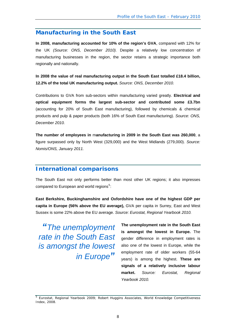#### <span id="page-7-0"></span>**Manufacturing in the South East**

**In 2008, manufacturing accounted for 10% of the region's GVA**, compared with 12% for the UK *(Source: ONS, December 2010).* Despite a relatively low concentration of manufacturing businesses in the region, the sector retains a strategic importance both regionally and nationally.

**In 2008 the value of real manufacturing output in the South East totalled £18.4 billion, 12.2% of the total UK manufacturing output.** *Source: ONS, December 2010.*

Contributions to GVA from sub-sectors within manufacturing varied greatly. **Electrical and optical equipment forms the largest sub-sector and contributed some £3.7bn**  (accounting for 20% of South East manufacturing), followed by chemicals & chemical products and pulp & paper products (both 16% of South East manufacturing). *Source: ONS, December 2010.* 

**The number of employees in** m**anufacturing in 2009 in the South East was 260,000**, a figure surpassed only by North West (329,000) and the West Midlands (279,000). *Source: Nomis/ONS, January 2011.* 

# **International comparisons**

The South East not only performs better than most other UK regions; it also impresses compared to European and world regions $5$ :

**East Berkshire, Buckinghamshire and Oxfordshire have one of the highest GDP per capita in Europe (56% above the EU average),** GVA per capita in Surrey, East and West Sussex is some 22% above the EU average. *Source: Eurostat, Regional Yearbook 2010.*

*"The unemployment rate in the South East is amongst the lowest in Europe"*

**The unemployment rate in the South East is amongst the lowest in Europe.** The gender difference in employment rates is also one of the lowest in Europe, while the employment rate of older workers (55-64 years) is among the highest. **These are signals of a relatively inclusive labour market.** *Source: Eurostat, Regional Yearbook 2010.*

<span id="page-7-1"></span><sup>5</sup> Eurostat, Regional Yearbook 2009; Robert Huggins Associates, World Knowledge Competitiveness Index, 2008.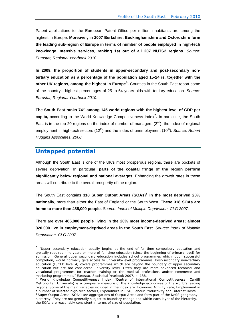<span id="page-8-0"></span>Patent applications to the European Patent Office per million inhabitants are among the highest in Europe. **Moreover, in 2007 Berkshire, Buckinghamshire and Oxfordshire form the leading sub-region of Europe in terms of number of people employed in high-tech knowledge intensive services, ranking 1st out of all 207 NUTS2 regions**. *Source: Eurostat, Regional Yearbook 2010.*

**In 2009, the proportion of students in upper-secondary and post-secondary nontertiary education as a percentage of the population aged 15-24 is, together with the**  other UK regions, among the highest in Europe<sup>[6](#page-8-1)</sup>. Counties in the South East report some of the country's highest percentages of 25 to 64 years olds with tertiary education. *Source: Eurostat, Regional Yearbook 2010.* 

The South East ranks 74<sup>th</sup> among 145 world regions with the highest level of GDP per capita, according to the World Knowledge Competitiveness Index<sup>[7](#page-8-2)</sup>. In particular, the South East is in the top 20 regions on the index of number of managers  $(2^{nd})$ , the index of regional employment in high-tech sectors (12<sup>th</sup>) and the index of unemployment (10<sup>th</sup>). *Source: Robert Huggins Associates, 2008.* 

#### **Untapped potential**

Although the South East is one of the UK's most prosperous regions, there are pockets of severe deprivation. In particular, **parts of the coastal fringe of the region perform significantly below regional and national averages.** Enhancing the growth rates in these areas will contribute to the overall prosperity of the region.

The South East contains **318 Super Output Areas (SOAs)[8](#page-8-3) in the most deprived 20% nationally**, more than either the East of England or the South West. **These 318 SOAs are home to more than 485,000 people.** *Source: Index of Multiple Deprivation, CLG 2007.*

There are **over 485,000 people living in the 20% most income-deprived areas; almost 320,000 live in employment-deprived areas in the South East**. *Source: Index of Multiple Deprivation, CLG 2007.*

<span id="page-8-1"></span> $6$  "Upper secondary education usually begins at the end of full-time compulsory education and typically requires nine years or more of full-time education (since the beginning of primary level) for admission. General upper secondary education includes school programmes which, upon successful completion, would normally give access to university-level programmes. Post-secondary non-tertiary education (ISCED level 4) covers programmes which are beyond the boundary of upper secondary education but are not considered university level. Often they are more advanced technical and vocational programmes for teacher training or the medical professions and/or commerce and marketing programmes." Eurostat, Statistical Yearbook 2007, p. 138.

<span id="page-8-3"></span><span id="page-8-2"></span><sup>7</sup> World Knowledge Competitiveness Index (Centre of international Competitiveness, Cardiff Metropolitan University) is a composite measure of the knowledge economies of the world's leading regions. Some of the main variables included in the index are: Economic Activity Rate, Employment in a number of selected high-tech sectors, Expenditure in R&D, Labour Productivity and Internet Hosts. 8 Super Output Areas (SOAs) are aggregations of Output Areas and form part of the NeSS geography hierarchy. They are not generally subject to boundary change and within each layer of the hierarchy, the SOAs are reasonably consistent in terms of size of population.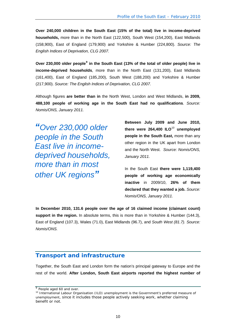<span id="page-9-0"></span>**Over 240,000 children in the South East (15% of the total) live in income-deprived households,** more than in the North East (122,500), South West (154,200), East Midlands (158,900), East of England (179,900) and Yorkshire & Humber (224,800). *Source: The English Indices of Deprivation, CLG 2007.*

Over 230,000 older people<sup>[9](#page-9-1)</sup> in the South East (13% of the total of older people) live in **income-deprived households**, more than in the North East (131,200), East Midlands (161,400), East of England (185,200), South West (188,200) and Yorkshire & Humber (217,900). *Source: The English Indices of Deprivation, CLG 2007.*

Although figures **are better than in** the North West, London and West Midlands, **in 2009, 488,100 people of working age in the South East had no qualifications**. *Source: Nomis/ONS, January 2011.*

*"Over 230,000 older people in the South East live in incomedeprived households, more than in most other UK regions"*

**Between July 2009 and June 2010, there were 264,400 ILO**[10](#page-9-2) **unemployed people in the South East,** more than any other region in the UK apart from London and the North West.*Source: Nomis/ONS, January 2011.* 

In the South East **there were 1,119,400 people of working age economically inactive** in 2009/10, **26% of them declared that they wanted a job.** *Source: Nomis/ONS, January 2011.*

**In December 2010, 131.6 people over the age of 16 claimed income (claimant count) support in the region.** In absolute terms, this is more than in Yorkshire & Humber (144.3), East of England (107.3), Wales (71.0), East Midlands (96.7), and *South West (81.7). Source: Nomis/ONS.* 

#### **Transport and infrastructure**

Together, the South East and London form the nation's principal gateway to Europe and the rest of the world. **After London, South East airports reported the highest number of** 

<span id="page-9-2"></span><span id="page-9-1"></span> $\overline{9}$  People aged 60 and over.<br><sup>10</sup> International Labour Organisation (ILO) unemployment is the Government's preferred measure of unemployment, since it includes those people actively seeking work, whether claiming benefit or not.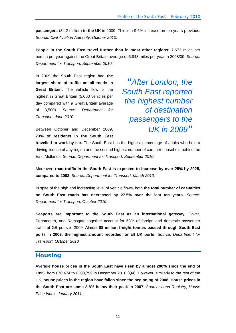<span id="page-10-0"></span>**passengers** (34.2 million) **in the UK** in 2009. This is a 9.6% increase on ten years previous. *Source: Civil Aviation Authority, October 2010.*

**People in the South East travel further than in most other regions:** 7,673 miles per person per year against the Great Britain average of 6,848 miles per year in 2008/09. *Source: Department for Transport, September 2010.*

In 2009 the South East region had **the largest share of traffic on all roads in Great Britain.** The vehicle flow is the highest in Great Britain (5,000 vehicles per day compared with a Great Britain average of 3,500). *Source: Department for Transport, June 2010.*

**73% of residents in the South East** 

*"After London, the South East reported the highest number of destination passengers to the*  Between October and December 2009, **UK in 2009** 

**travelled to work by car.** The South East has the highest percentage of adults who hold a driving licence of any region and the second highest number of cars per household behind the East Midlands. *Source: Department for Transport, September 2010.*

Moreover, **road traffic in the South East is expected to increase by over 25% by 2025, compared to 2003.** *Source: Department for Transport, March 2010.*

In spite of the high and increasing level of vehicle flows, both **the total number of casualties on South East roads has decreased by 27.5% over the last ten years.** *Source: Department for Transport, October 2010.*

**Seaports are important to the South East as an international gateway.** Dover, Portsmouth, and Ramsgate together account for 63% of foreign and domestic passenger traffic at GB ports in 2009. Almost **88 million freight tonnes passed through South East ports in 2009, the highest amount recorded for all UK ports.** *Source: Department for Transport, October 2010.*

#### **Housing**

Average **house prices in the South East have risen by almost 200% since the end of 1995**, from £70,474 to £208,799 in December 2010 (Q4). However, similarly to the rest of the UK, **house prices in the region have fallen since the beginning of 2008. House prices in the South East are some 8.8% below their peak in 2007**. *Source: Land Registry, House Price Index, January 2011.*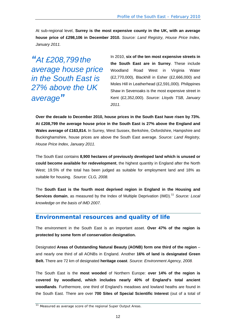<span id="page-11-0"></span>At sub-regional level, **Surrey is the most expensive county in the UK, with an average house price of £298,106 in December 2010.** *Source: Land Registry, House Price Index, January 2011.* 

*"At £208,799 the average house price in the South East is 27% above the UK average"*

In 2010, **six of the ten most expensive streets in the South East are in Surrey**. These include Woodland Road West in Virginia Water (£2,770,000), Blackhill in Esher (£2,666,000) and Moles Hill in Leatherhead (£2,591,000). Philippines Shaw in Sevenoaks is the most expensive street in Kent (£2,352,000). *Source: Lloyds TSB, January 2011.*

**Over the decade to December 2010, house prices in the South East have risen by 73%. At £208,799 the average house price in the South East is 27% above the England and Wales average of £163,814.** In Surrey, West Sussex, Berkshire, Oxfordshire, Hampshire and Buckinghamshire, house prices are above the South East average. *Source: Land Registry, House Price Index, January 2011.* 

The South East contains **8,900 hectares of previously developed land which is unused or could become available for redevelopment**, the highest quantity in England after the North West; 19.5% of the total has been judged as suitable for employment land and 18% as suitable for housing. *Source: CLG, 2008.*

The **South East is the fourth most deprived region in England in the Housing and Services domain**, as measured by the Index of Multiple Deprivation (IMD).<sup>[11](#page-11-1)</sup> Source: Local *knowledge on the basis of IMD 2007.*

# **Environmental resources and quality of life**

The environment in the South East is an important asset. **Over 47% of the region is protected by some form of conservation designation.**

Designated **Areas of Outstanding Natural Beauty (AONB) form one third of the region** – and nearly one third of all AONBs in England. Another **16% of land is designated Green Belt.** There are 72 km of designated **heritage coast**. *Source: Environment Agency, 2008.* 

The South East is the **most wooded** of Northern Europe: **over 14% of the region is covered by woodland, which includes nearly 40% of England's total ancient woodlands**. Furthermore, one third of England's meadows and lowland heaths are found in the South East. There are over **700 Sites of Special Scientific Interest** (out of a total of

<span id="page-11-1"></span><sup>&</sup>lt;sup>11</sup> Measured as average score of the regional Super Output Areas.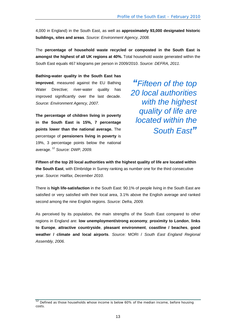4,000 in England) in the South East, as well as **approximately 93,000 designated historic buildings, sites and areas**. *Source: Environment Agency, 2008.*

The **percentage of household waste recycled or composted in the South East is amongst the highest of all UK regions at 40%.** Total household waste generated within the South East equals 467 kilograms per person in 2009/2010. *Source: DEFRA, 2011.* 

**Bathing-water quality in the South East has improved**, measured against the EU Bathing Water Directive; river-water quality has improved significantly over the last decade. *Source: Environment Agency, 2007.*

**The percentage of children living in poverty in the South East is 15%, 7 percentage points lower than the national average.** The percentage of **pensioners living in poverty** is 19%, 3 percentage points below the national average. [12](#page-12-0) *Source: DWP, 2009.*

*"Fifteen of the top 20 local authorities with the highest quality of life are located within the South East"*

**Fifteen of the top 20 local authorities with the highest quality of life are located within the South East**, with Elmbridge in Surrey ranking as number one for the third consecutive year. *Source: Halifax, December 2010.*

There is **high life-satisfaction** in the South East: 90.1% of people living in the South East are satisfied or very satisfied with their local area, 3.1% above the English average and ranked second among the nine English regions. *Source: Defra, 2009.*

As perceived by its population, the main strengths of the South East compared to other regions in England are: **low unemployment/strong economy**, **proximity to London**, **links to Europe**, **attractive countryside**, **pleasant environment**, **coastline / beaches**, **good weather / climate and local airports**. *Source:* MORI / *South East England Regional Assembly, 2006.* 

<span id="page-12-0"></span><sup>&</sup>lt;sup>12</sup> Defined as those households whose income is below 60% of the median income, before housing costs.